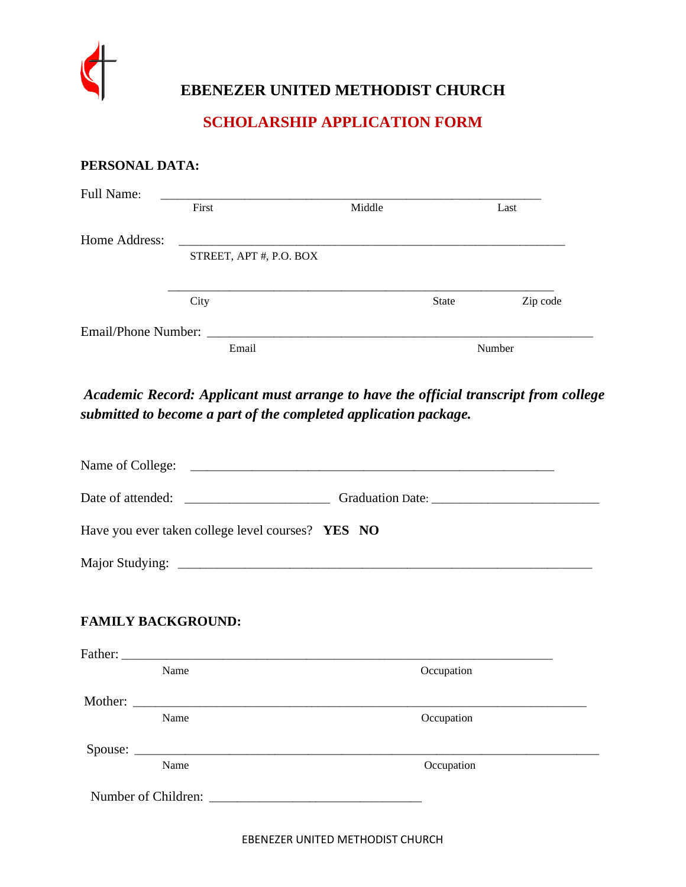

# **EBENEZER UNITED METHODIST CHURCH**

### **SCHOLARSHIP APPLICATION FORM**

#### **PERSONAL DATA:**

| Full Name:          |                         |        |              |          |
|---------------------|-------------------------|--------|--------------|----------|
|                     | First                   | Middle |              | Last     |
|                     |                         |        |              |          |
| Home Address:       | STREET, APT #, P.O. BOX |        |              |          |
|                     |                         |        |              |          |
|                     |                         |        |              |          |
|                     | City                    |        | <b>State</b> | Zip code |
|                     |                         |        |              |          |
| Email/Phone Number: |                         |        |              |          |
|                     | Email                   |        |              | Number   |

*Academic Record: Applicant must arrange to have the official transcript from college submitted to become a part of the completed application package.*

|  | Have you ever taken college level courses? YES NO |  |            |  |
|--|---------------------------------------------------|--|------------|--|
|  |                                                   |  |            |  |
|  | <b>FAMILY BACKGROUND:</b>                         |  |            |  |
|  |                                                   |  |            |  |
|  | Name                                              |  | Occupation |  |
|  |                                                   |  |            |  |
|  | Name                                              |  | Occupation |  |
|  |                                                   |  |            |  |
|  | Name                                              |  | Occupation |  |
|  |                                                   |  |            |  |